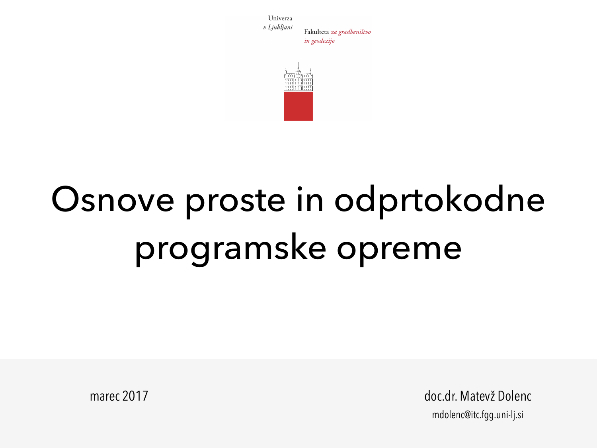Univerza v Ljubljani Fakulteta za gradbeništvo in geodezijo



# Osnove proste in odprtokodne programske opreme

marec 2017 **doc.dr. Matevž Dolenc** mdolenc@itc.fgg.uni-lj.si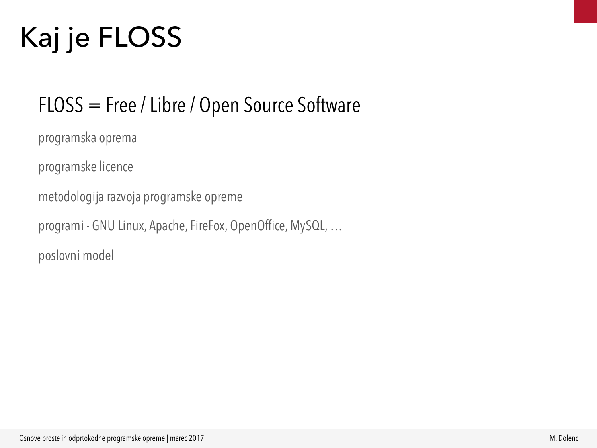# Kaj je FLOSS

#### FLOSS = Free / Libre / Open Source Software

programska oprema

programske licence

metodologija razvoja programske opreme

programi - GNU Linux, Apache, FireFox, OpenOffice, MySQL, …

poslovni model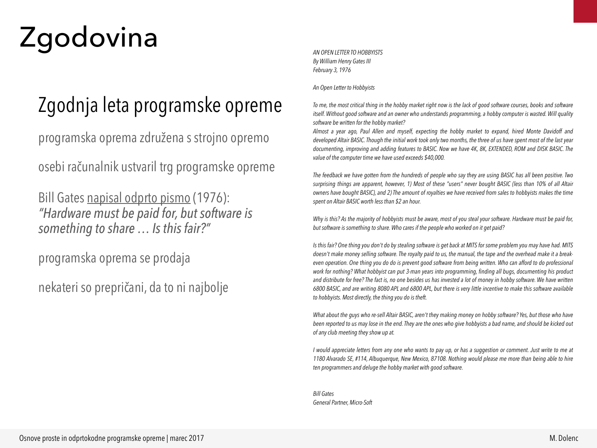# Zgodovina

### Zgodnja leta programske opreme

programska oprema združena s strojno opremo

osebi računalnik ustvaril trg programske opreme

Bill Gates [napisal odprto pismo](http://www.blinkenlights.com/classiccmp/gateswhine.html) (1976): *"Hardware must be paid for, but software is something to share … Is this fair?"*

programska oprema se prodaja

nekateri so prepričani, da to ni najbolje

*AN OPEN LETTER TO HOBBYISTS By William Henry Gates III February 3, 1976* 

*An Open Letter to Hobbyists* 

*To me, the most critical thing in the hobby market right now is the lack of good software courses, books and software itself. Without good software and an owner who understands programming, a hobby computer is wasted. Will quality software be written for the hobby market?* 

*Almost a year ago, Paul Allen and myself, expecting the hobby market to expand, hired Monte Davidoff and developed Altair BASIC. Though the initial work took only two months, the three of us have spent most of the last year documenting, improving and adding features to BASIC. Now we have 4K, 8K, EXTENDED, ROM and DISK BASIC. The value of the computer time we have used exceeds \$40,000.* 

*The feedback we have gotten from the hundreds of people who say they are using BASIC has all been positive. Two surprising things are apparent, however, 1) Most of these "users" never bought BASIC (less than 10% of all Altair owners have bought BASIC), and 2) The amount of royalties we have received from sales to hobbyists makes the time spent on Altair BASIC worth less than \$2 an hour.* 

*Why is this? As the majority of hobbyists must be aware, most of you steal your software. Hardware must be paid for, but software is something to share. Who cares if the people who worked on it get paid?* 

*Is this fair? One thing you don't do by stealing software is get back at MITS for some problem you may have had. MITS doesn't make money selling software. The royalty paid to us, the manual, the tape and the overhead make it a breakeven operation. One thing you do do is prevent good software from being written. Who can afford to do professional work for nothing? What hobbyist can put 3-man years into programming, finding all bugs, documenting his product and distribute for free? The fact is, no one besides us has invested a lot of money in hobby software. We have written 6800 BASIC, and are writing 8080 APL and 6800 APL, but there is very little incentive to make this software available to hobbyists. Most directly, the thing you do is theft.* 

*What about the guys who re-sell Altair BASIC, aren't they making money on hobby software? Yes, but those who have been reported to us may lose in the end. They are the ones who give hobbyists a bad name, and should be kicked out of any club meeting they show up at.* 

*I would appreciate letters from any one who wants to pay up, or has a suggestion or comment. Just write to me at 1180 Alvarado SE, #114, Albuquerque, New Mexico, 87108. Nothing would please me more than being able to hire ten programmers and deluge the hobby market with good software.* 

*Bill Gates General Partner, Micro-Soft*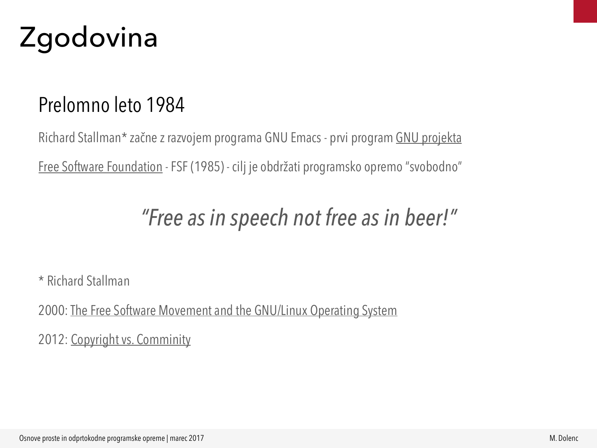

#### Prelomno leto 1984

Richard Stallman\* začne z razvojem programa GNU Emacs - prvi program [GNU projekta](http://www.gnu.org) [Free Software Foundation](http://www.fsf.org) - FSF (1985) - cilj je obdržati programsko opremo "svobodno"

#### *"Free as in speech not free as in beer!"*

\* Richard Stallman

2000: [The Free Software Movement and the GNU/Linux Operating System](https://audio-video.gnu.org/audio/#TO2000)

2012: [Copyright vs. Comminity](https://archive.org/details/RichardStallmanInLjubljana2012_899)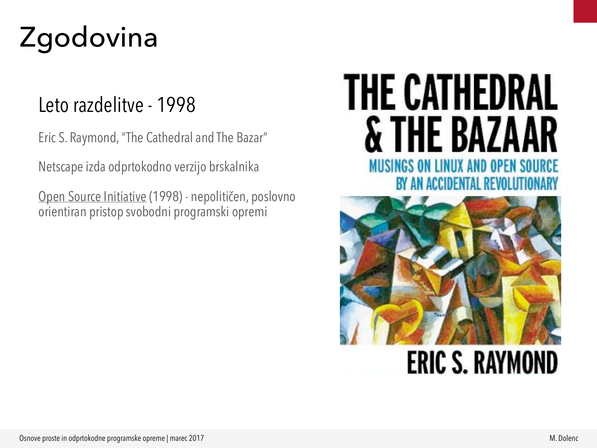# Zgodovina

#### Leto razdelitve - 1998

Eric S. Raymond, "The Cathedral and The Bazar"

Netscape izda odprtokodno verzijo brskalnika

[Open Source Initiative](http://www.opensource.org) (1998) - nepolitičen, poslovno orientiran pristop svobodni programski opremi

### **THE CATHEDRAL & THE BAZI NUX AND OPEN BY AN ACCIDENTAL REVO**



### **ERIC S. RAYMOND**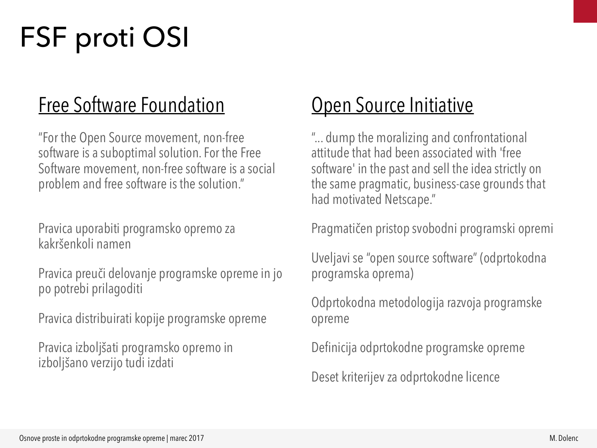# FSF proti OSI

#### [Free Software Foundation](http://www.fsf.org/licensing/essays/free-software-for-freedom.html)

"For the Open Source movement, non-free software is a suboptimal solution. For the Free Software movement, non-free software is a social problem and free software is the solution."

Pravica uporabiti programsko opremo za kakršenkoli namen

Pravica preuči delovanje programske opreme in jo po potrebi prilagoditi

Pravica distribuirati kopije programske opreme

Pravica izboljšati programsko opremo in izboljšano verzijo tudi izdati

#### **[Open Source Initiative](http://opensource.org/history)**

"... dump the moralizing and confrontational attitude that had been associated with 'free software' in the past and sell the idea strictly on the same pragmatic, business-case grounds that had motivated Netscape."

Pragmatičen pristop svobodni programski opremi

Uveljavi se "open source software" (odprtokodna programska oprema)

Odprtokodna metodologija razvoja programske opreme

Definicija odprtokodne programske opreme

Deset kriterijev za odprtokodne licence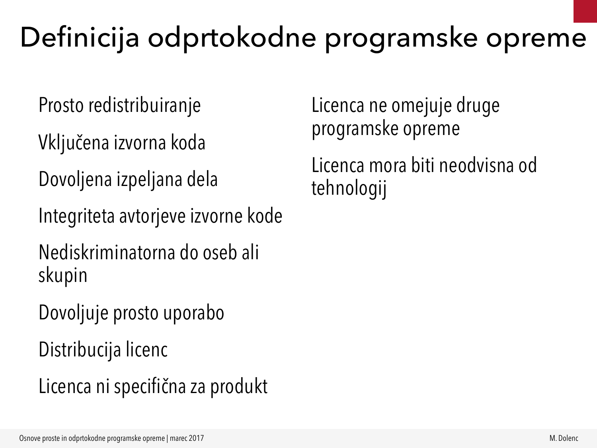### Definicija odprtokodne programske opreme

Prosto redistribuiranje

Vključena izvorna koda

Dovoljena izpeljana dela

Integriteta avtorjeve izvorne kode

Nediskriminatorna do oseb ali skupin

Dovoljuje prosto uporabo

Distribucija licenc

Licenca ni specifična za produkt

Licenca ne omejuje druge programske opreme

Licenca mora biti neodvisna od tehnologij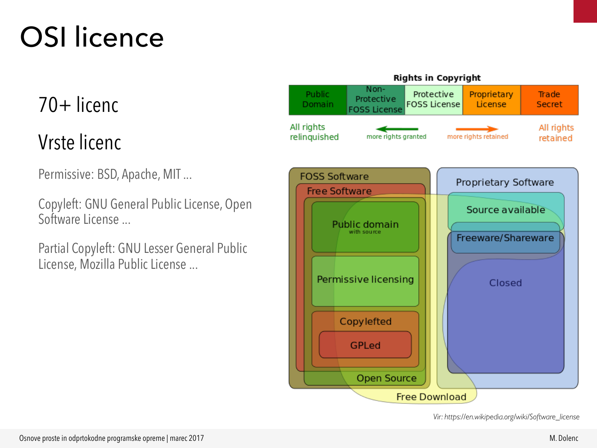# OSI licence

#### 70+ licenc

#### Vrste licenc

Permissive: BSD, Apache, MIT ...

Copyleft: GNU General Public License, Open Software License ...

Partial Copyleft: GNU Lesser General Public License, Mozilla Public License ...





*Vir: https://en.wikipedia.org/wiki/Software\_license*